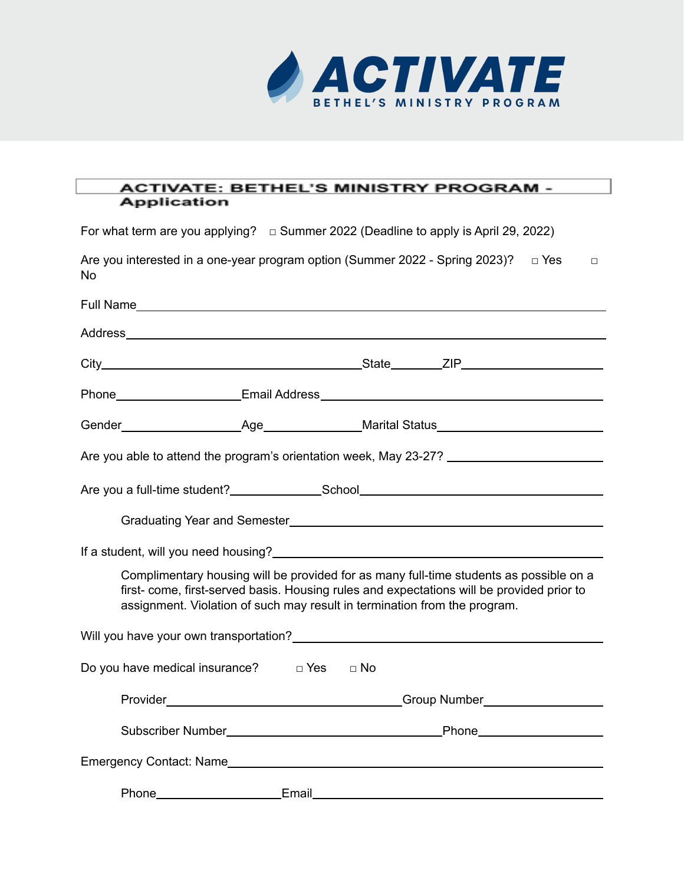

## **ACTIVATE: BETHEL'S MINISTRY PROGRAM -Application**

For what term are you applying? □ Summer 2022 (Deadline to apply is April 29, 2022)

| Are you interested in a one-year program option (Summer 2022 - Spring 2023)? $\Box$ Yes<br>No.       |  |                    |                                                                                                                                                                                                                                                                  | $\Box$ |
|------------------------------------------------------------------------------------------------------|--|--------------------|------------------------------------------------------------------------------------------------------------------------------------------------------------------------------------------------------------------------------------------------------------------|--------|
|                                                                                                      |  |                    |                                                                                                                                                                                                                                                                  |        |
|                                                                                                      |  |                    |                                                                                                                                                                                                                                                                  |        |
|                                                                                                      |  |                    |                                                                                                                                                                                                                                                                  |        |
|                                                                                                      |  |                    |                                                                                                                                                                                                                                                                  |        |
|                                                                                                      |  |                    |                                                                                                                                                                                                                                                                  |        |
| Are you able to attend the program's orientation week, May 23-27? __________________________________ |  |                    |                                                                                                                                                                                                                                                                  |        |
|                                                                                                      |  |                    |                                                                                                                                                                                                                                                                  |        |
|                                                                                                      |  |                    |                                                                                                                                                                                                                                                                  |        |
|                                                                                                      |  |                    |                                                                                                                                                                                                                                                                  |        |
|                                                                                                      |  |                    | Complimentary housing will be provided for as many full-time students as possible on a<br>first- come, first-served basis. Housing rules and expectations will be provided prior to<br>assignment. Violation of such may result in termination from the program. |        |
| Will you have your own transportation?<br>Will you have your own transportation?                     |  |                    |                                                                                                                                                                                                                                                                  |        |
| Do you have medical insurance? $\Box$ Yes $\Box$ No                                                  |  |                    |                                                                                                                                                                                                                                                                  |        |
|                                                                                                      |  |                    |                                                                                                                                                                                                                                                                  |        |
|                                                                                                      |  |                    |                                                                                                                                                                                                                                                                  |        |
|                                                                                                      |  |                    |                                                                                                                                                                                                                                                                  |        |
| Phone                                                                                                |  | Email <b>Email</b> |                                                                                                                                                                                                                                                                  |        |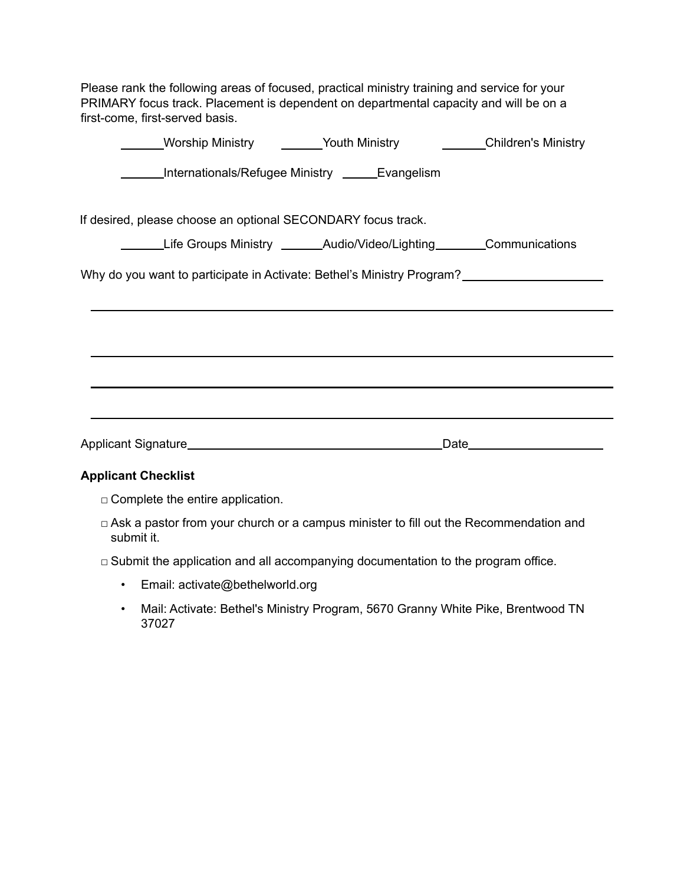Please rank the following areas of focused, practical ministry training and service for your PRIMARY focus track. Placement is dependent on departmental capacity and will be on a first-come, first-served basis.

| __Worship Ministry ________Youth Ministry __________Children's Ministry |
|-------------------------------------------------------------------------|
| ______Internationals/Refugee Ministry _______Evangelism                 |
|                                                                         |
| If desired, please choose an optional SECONDARY focus track.            |
| Life Groups Ministry ________Audio/Video/Lighting________Communications |
| Why do you want to participate in Activate: Bethel's Ministry Program?  |
|                                                                         |
|                                                                         |
|                                                                         |
|                                                                         |
|                                                                         |
|                                                                         |

## **Applicant Checklist**

- □ Complete the entire application.
- □ Ask a pastor from your church or a campus minister to fill out the Recommendation and submit it.
- $\Box$  Submit the application and all accompanying documentation to the program office.
	- Email: [activate@bethelworld.org](mailto:activate@bethelworld.org)
	- Mail: Activate: Bethel's Ministry Program, 5670 Granny White Pike, Brentwood TN 37027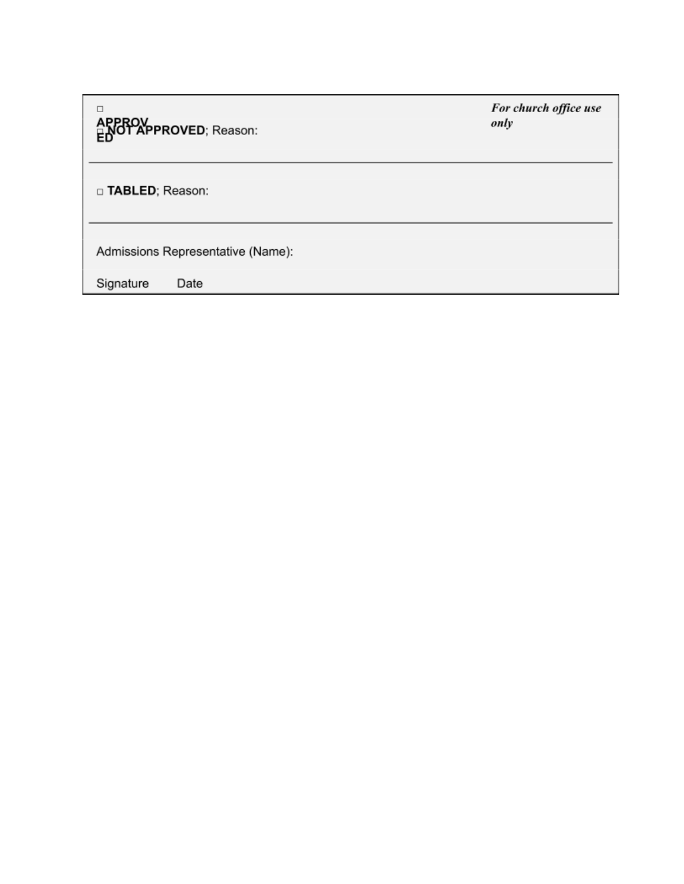For church office use  $\Box$ APPROV<br>EDOTAPPROVED; Reason: only □ TABLED; Reason: Admissions Representative (Name): Signature Date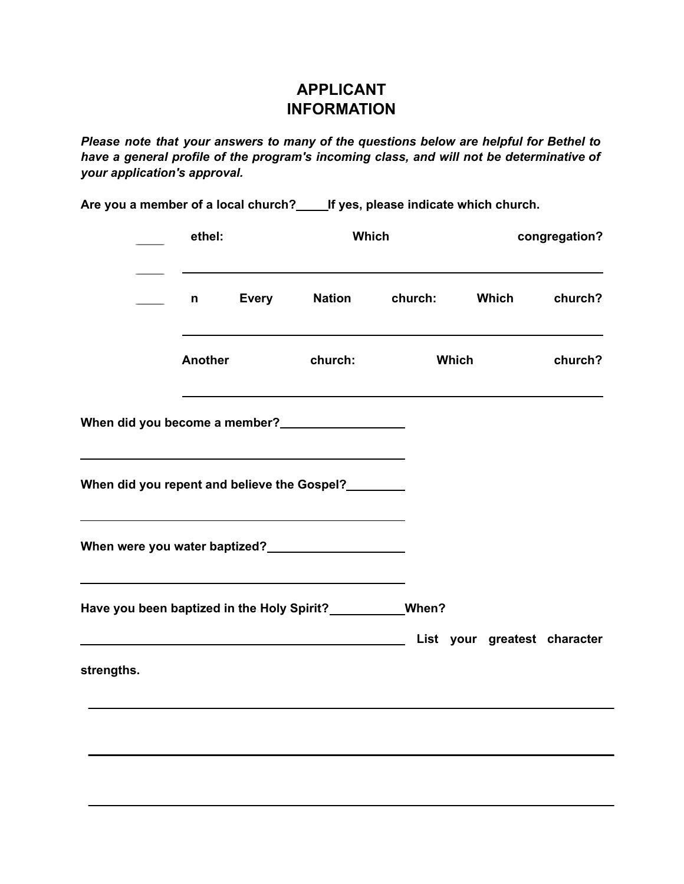## **APPLICANT INFORMATION**

*Please note that your answers to many of the questions below are helpful for Bethel to have a general profile of the program's incoming class, and will not be determinative of your application's approval.*

**Are you a member of a local church? If yes, please indicate which church.**

|                                                              | ethel:  |              | Which         |                                                                                                               |       | congregation? |  |
|--------------------------------------------------------------|---------|--------------|---------------|---------------------------------------------------------------------------------------------------------------|-------|---------------|--|
| $\mathbf{n}$ $\mathbf{n}$                                    |         | <b>Every</b> | <b>Nation</b> | church:                                                                                                       | Which | church?       |  |
|                                                              | Another |              | church:       | <b>Which</b>                                                                                                  |       | church?       |  |
| When did you become a member?<br><u> </u>                    |         |              |               |                                                                                                               |       |               |  |
| When did you repent and believe the Gospel?                  |         |              |               |                                                                                                               |       |               |  |
|                                                              |         |              |               |                                                                                                               |       |               |  |
| Have you been baptized in the Holy Spirit? ____________When? |         |              |               | List your greatest character Contract to the Contract of List School and List School and List School and List |       |               |  |
| strengths.                                                   |         |              |               |                                                                                                               |       |               |  |
|                                                              |         |              |               |                                                                                                               |       |               |  |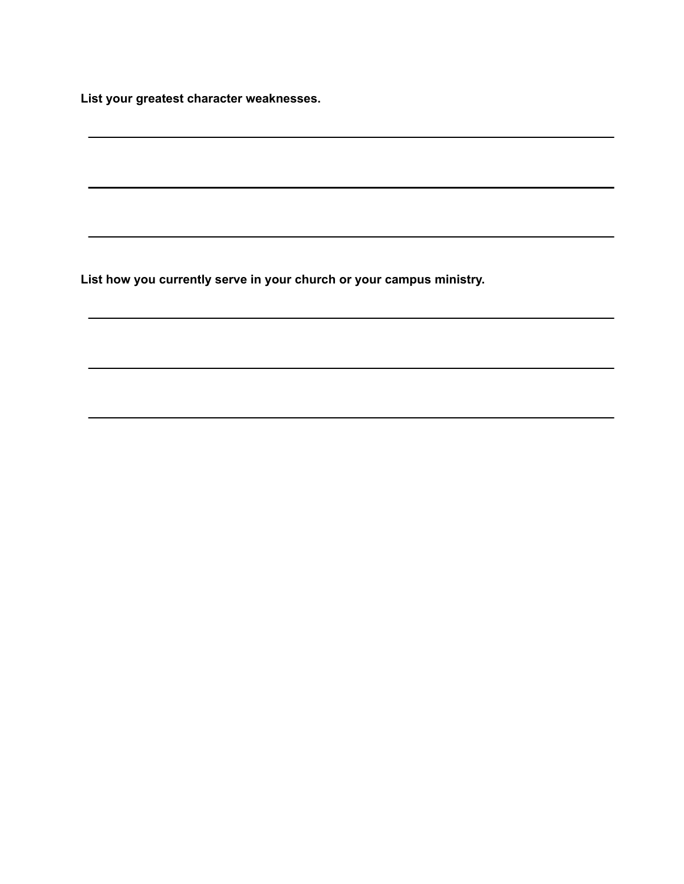**List your greatest character weaknesses.**

**List how you currently serve in your church or your campus ministry.**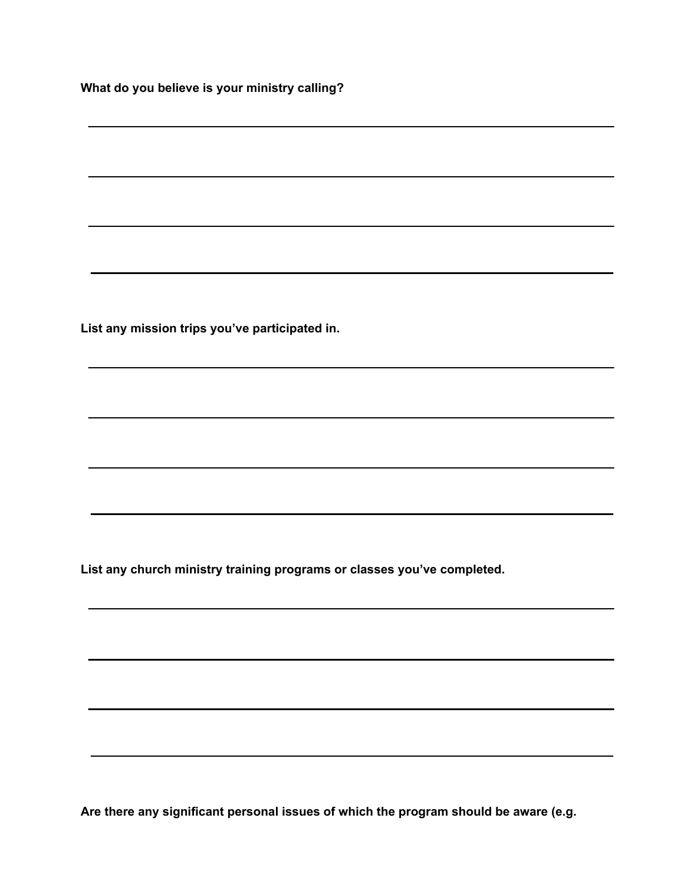**What do you believe is your ministry calling?**

**List any mission trips you've participated in.**

**List any church ministry training programs or classes you've completed.**

**Are there any significant personal issues of which the program should be aware (e.g.**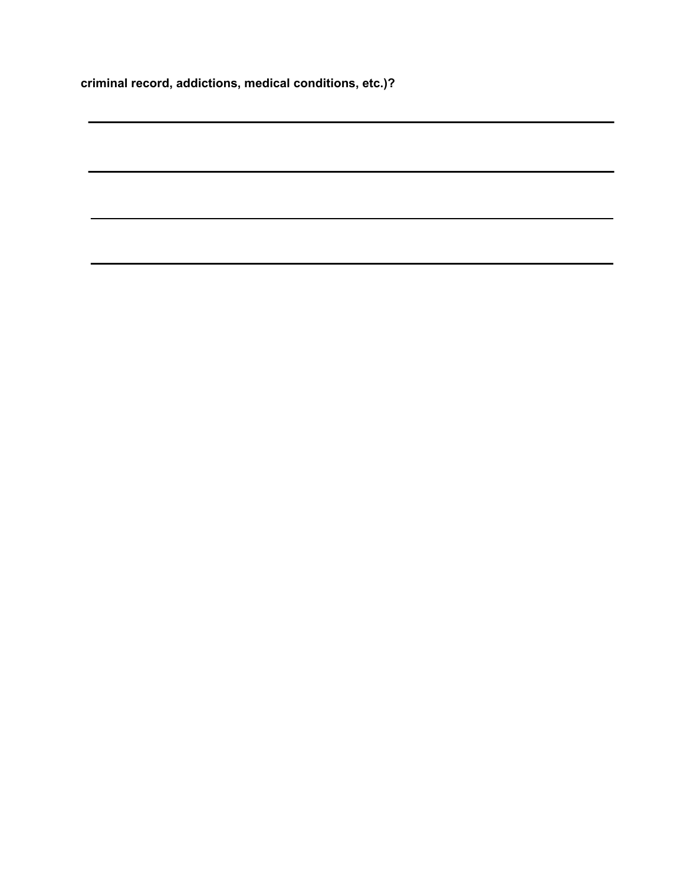**criminal record, addictions, medical conditions, etc.)?**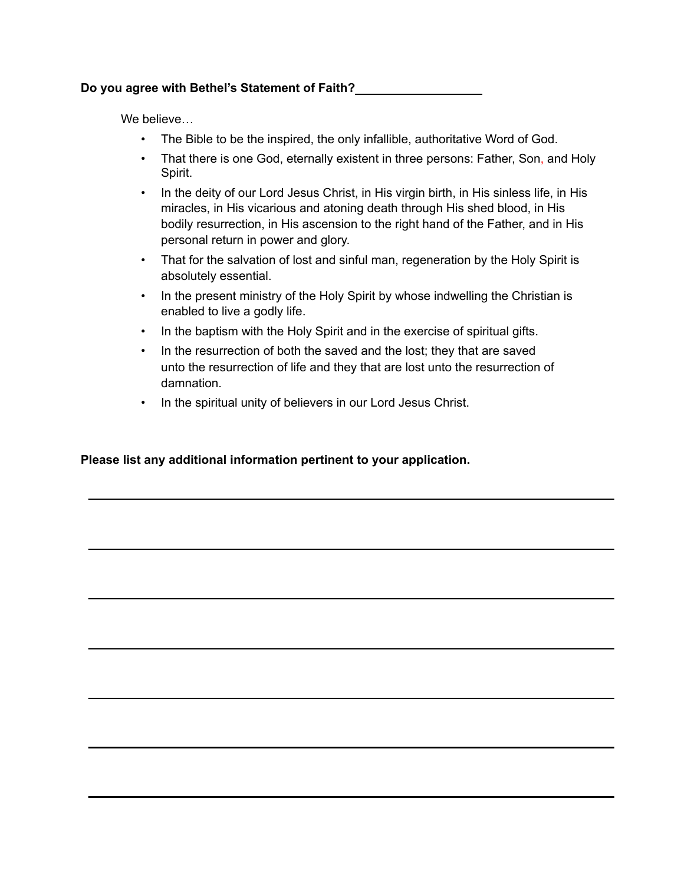We believe…

- The Bible to be the inspired, the only infallible, authoritative Word of God.
- That there is one God, eternally existent in three persons: Father, Son, and Holy Spirit.
- In the deity of our Lord Jesus Christ, in His virgin birth, in His sinless life, in His miracles, in His vicarious and atoning death through His shed blood, in His bodily resurrection, in His ascension to the right hand of the Father, and in His personal return in power and glory.
- That for the salvation of lost and sinful man, regeneration by the Holy Spirit is absolutely essential.
- In the present ministry of the Holy Spirit by whose indwelling the Christian is enabled to live a godly life.
- In the baptism with the Holy Spirit and in the exercise of spiritual gifts.
- In the resurrection of both the saved and the lost; they that are saved unto the resurrection of life and they that are lost unto the resurrection of damnation.
- In the spiritual unity of believers in our Lord Jesus Christ.

**Please list any additional information pertinent to your application.**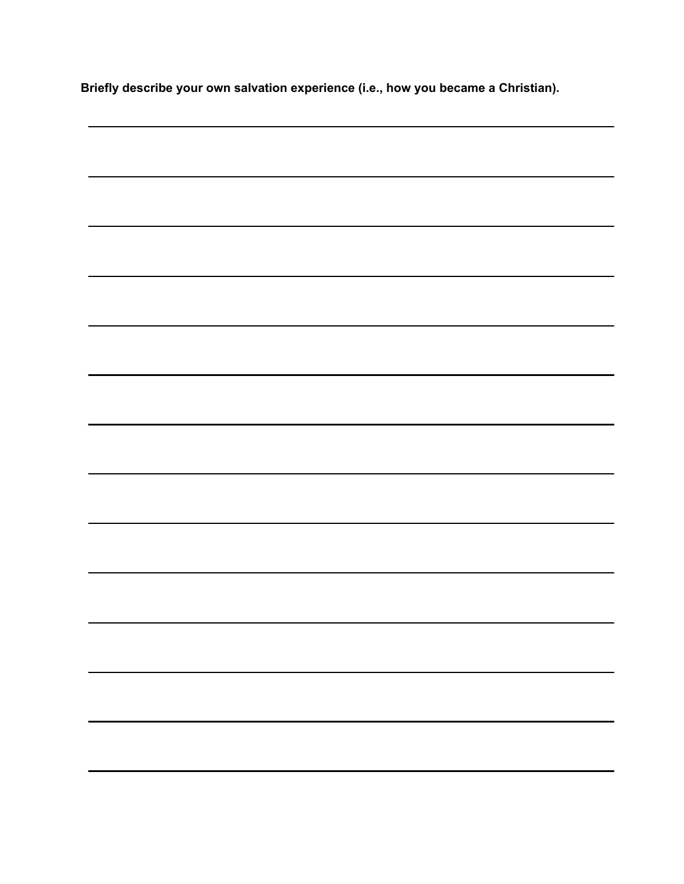**Briefly describe your own salvation experience (i.e., how you became a Christian).**